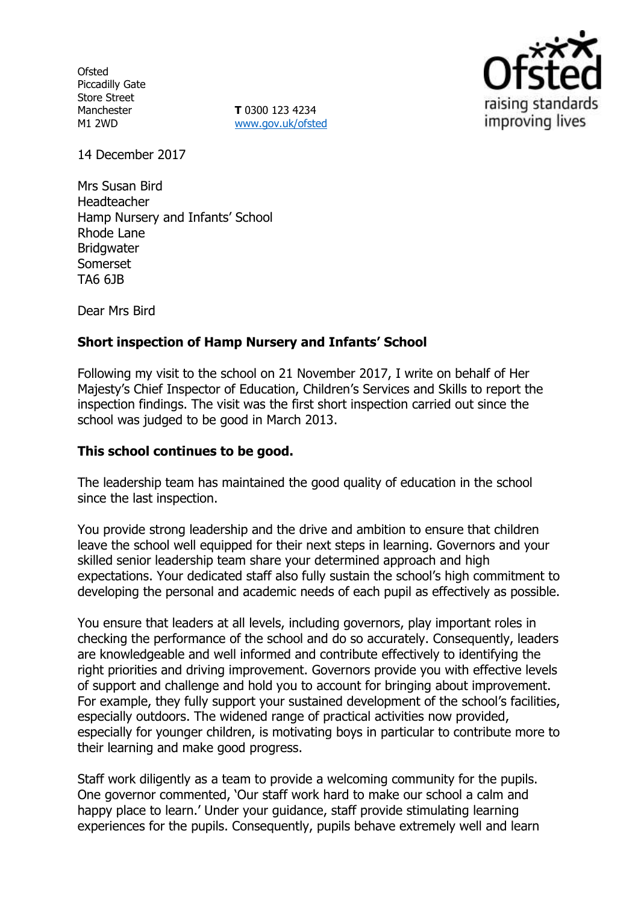**Ofsted** Piccadilly Gate Store Street Manchester M1 2WD

**T** 0300 123 4234 [www.gov.uk/ofsted](http://www.gov.uk/ofsted)



14 December 2017

Mrs Susan Bird Headteacher Hamp Nursery and Infants' School Rhode Lane **Bridgwater** Somerset TA6 6JB

Dear Mrs Bird

## **Short inspection of Hamp Nursery and Infants' School**

Following my visit to the school on 21 November 2017, I write on behalf of Her Majesty's Chief Inspector of Education, Children's Services and Skills to report the inspection findings. The visit was the first short inspection carried out since the school was judged to be good in March 2013.

### **This school continues to be good.**

The leadership team has maintained the good quality of education in the school since the last inspection.

You provide strong leadership and the drive and ambition to ensure that children leave the school well equipped for their next steps in learning. Governors and your skilled senior leadership team share your determined approach and high expectations. Your dedicated staff also fully sustain the school's high commitment to developing the personal and academic needs of each pupil as effectively as possible.

You ensure that leaders at all levels, including governors, play important roles in checking the performance of the school and do so accurately. Consequently, leaders are knowledgeable and well informed and contribute effectively to identifying the right priorities and driving improvement. Governors provide you with effective levels of support and challenge and hold you to account for bringing about improvement. For example, they fully support your sustained development of the school's facilities, especially outdoors. The widened range of practical activities now provided, especially for younger children, is motivating boys in particular to contribute more to their learning and make good progress.

Staff work diligently as a team to provide a welcoming community for the pupils. One governor commented, 'Our staff work hard to make our school a calm and happy place to learn.' Under your guidance, staff provide stimulating learning experiences for the pupils. Consequently, pupils behave extremely well and learn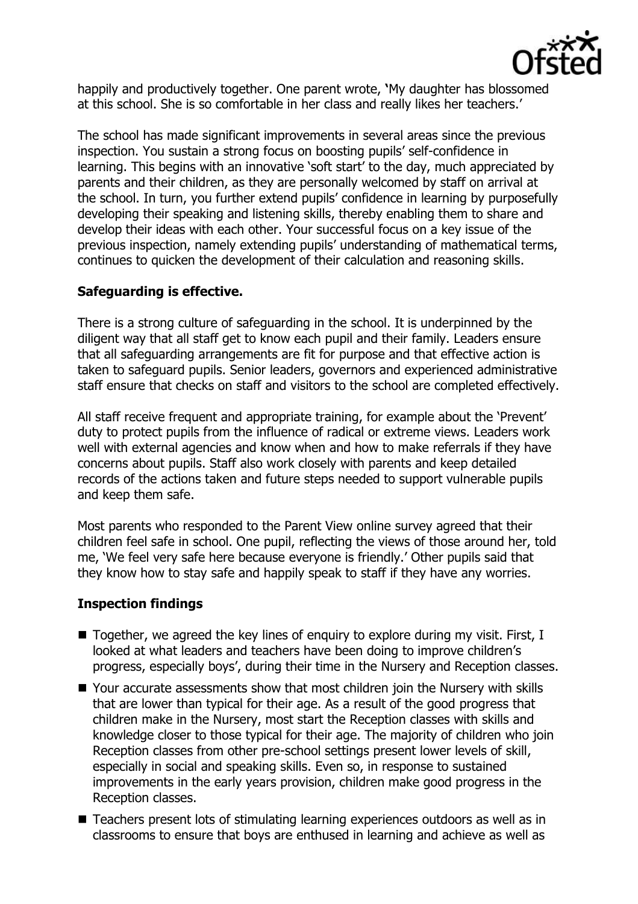

happily and productively together. One parent wrote, **'**My daughter has blossomed at this school. She is so comfortable in her class and really likes her teachers.'

The school has made significant improvements in several areas since the previous inspection. You sustain a strong focus on boosting pupils' self-confidence in learning. This begins with an innovative 'soft start' to the day, much appreciated by parents and their children, as they are personally welcomed by staff on arrival at the school. In turn, you further extend pupils' confidence in learning by purposefully developing their speaking and listening skills, thereby enabling them to share and develop their ideas with each other. Your successful focus on a key issue of the previous inspection, namely extending pupils' understanding of mathematical terms, continues to quicken the development of their calculation and reasoning skills.

# **Safeguarding is effective.**

There is a strong culture of safeguarding in the school. It is underpinned by the diligent way that all staff get to know each pupil and their family. Leaders ensure that all safeguarding arrangements are fit for purpose and that effective action is taken to safeguard pupils. Senior leaders, governors and experienced administrative staff ensure that checks on staff and visitors to the school are completed effectively.

All staff receive frequent and appropriate training, for example about the 'Prevent' duty to protect pupils from the influence of radical or extreme views. Leaders work well with external agencies and know when and how to make referrals if they have concerns about pupils. Staff also work closely with parents and keep detailed records of the actions taken and future steps needed to support vulnerable pupils and keep them safe.

Most parents who responded to the Parent View online survey agreed that their children feel safe in school. One pupil, reflecting the views of those around her, told me, 'We feel very safe here because everyone is friendly.' Other pupils said that they know how to stay safe and happily speak to staff if they have any worries.

# **Inspection findings**

- Together, we agreed the key lines of enguiry to explore during my visit. First, I looked at what leaders and teachers have been doing to improve children's progress, especially boys', during their time in the Nursery and Reception classes.
- Your accurate assessments show that most children join the Nursery with skills that are lower than typical for their age. As a result of the good progress that children make in the Nursery, most start the Reception classes with skills and knowledge closer to those typical for their age. The majority of children who join Reception classes from other pre-school settings present lower levels of skill, especially in social and speaking skills. Even so, in response to sustained improvements in the early years provision, children make good progress in the Reception classes.
- Teachers present lots of stimulating learning experiences outdoors as well as in classrooms to ensure that boys are enthused in learning and achieve as well as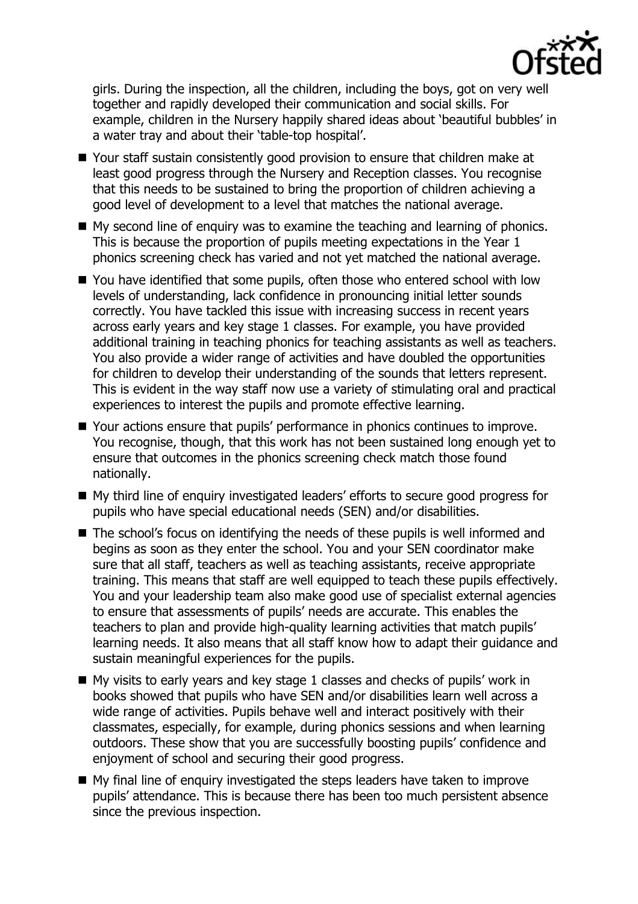

girls. During the inspection, all the children, including the boys, got on very well together and rapidly developed their communication and social skills. For example, children in the Nursery happily shared ideas about 'beautiful bubbles' in a water tray and about their 'table-top hospital'.

- Your staff sustain consistently good provision to ensure that children make at least good progress through the Nursery and Reception classes. You recognise that this needs to be sustained to bring the proportion of children achieving a good level of development to a level that matches the national average.
- $\blacksquare$  My second line of enquiry was to examine the teaching and learning of phonics. This is because the proportion of pupils meeting expectations in the Year 1 phonics screening check has varied and not yet matched the national average.
- You have identified that some pupils, often those who entered school with low levels of understanding, lack confidence in pronouncing initial letter sounds correctly. You have tackled this issue with increasing success in recent years across early years and key stage 1 classes. For example, you have provided additional training in teaching phonics for teaching assistants as well as teachers. You also provide a wider range of activities and have doubled the opportunities for children to develop their understanding of the sounds that letters represent. This is evident in the way staff now use a variety of stimulating oral and practical experiences to interest the pupils and promote effective learning.
- Your actions ensure that pupils' performance in phonics continues to improve. You recognise, though, that this work has not been sustained long enough yet to ensure that outcomes in the phonics screening check match those found nationally.
- My third line of enquiry investigated leaders' efforts to secure good progress for pupils who have special educational needs (SEN) and/or disabilities.
- The school's focus on identifying the needs of these pupils is well informed and begins as soon as they enter the school. You and your SEN coordinator make sure that all staff, teachers as well as teaching assistants, receive appropriate training. This means that staff are well equipped to teach these pupils effectively. You and your leadership team also make good use of specialist external agencies to ensure that assessments of pupils' needs are accurate. This enables the teachers to plan and provide high-quality learning activities that match pupils' learning needs. It also means that all staff know how to adapt their guidance and sustain meaningful experiences for the pupils.
- My visits to early years and key stage 1 classes and checks of pupils' work in books showed that pupils who have SEN and/or disabilities learn well across a wide range of activities. Pupils behave well and interact positively with their classmates, especially, for example, during phonics sessions and when learning outdoors. These show that you are successfully boosting pupils' confidence and enjoyment of school and securing their good progress.
- My final line of enquiry investigated the steps leaders have taken to improve pupils' attendance. This is because there has been too much persistent absence since the previous inspection.